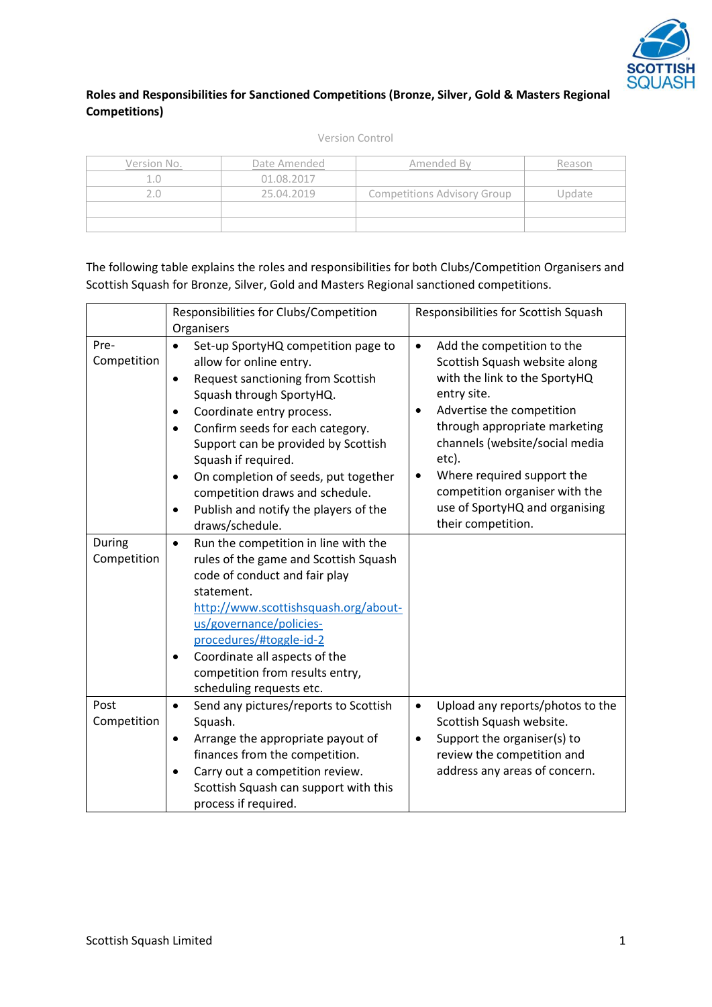

## **Roles and Responsibilities for Sanctioned Competitions (Bronze, Silver, Gold & Masters Regional Competitions)**

Version Control

| Version No. | Date Amended | Amended By                         | ≀eason |  |
|-------------|--------------|------------------------------------|--------|--|
|             | 01.08.2017   |                                    |        |  |
|             | 25.04.2019   | <b>Competitions Advisory Group</b> | Jpdate |  |
|             |              |                                    |        |  |
|             |              |                                    |        |  |

| The following table explains the roles and responsibilities for both Clubs/Competition Organisers and |
|-------------------------------------------------------------------------------------------------------|
| Scottish Squash for Bronze, Silver, Gold and Masters Regional sanctioned competitions.                |

|                     | Responsibilities for Clubs/Competition                                                                                                                                                                                                                                                                                                                                                                                                                                                     | Responsibilities for Scottish Squash                                                                                                                                                                                                                                                                                                                                   |
|---------------------|--------------------------------------------------------------------------------------------------------------------------------------------------------------------------------------------------------------------------------------------------------------------------------------------------------------------------------------------------------------------------------------------------------------------------------------------------------------------------------------------|------------------------------------------------------------------------------------------------------------------------------------------------------------------------------------------------------------------------------------------------------------------------------------------------------------------------------------------------------------------------|
|                     | Organisers                                                                                                                                                                                                                                                                                                                                                                                                                                                                                 |                                                                                                                                                                                                                                                                                                                                                                        |
| Pre-<br>Competition | Set-up SportyHQ competition page to<br>$\bullet$<br>allow for online entry.<br><b>Request sanctioning from Scottish</b><br>$\bullet$<br>Squash through SportyHQ.<br>Coordinate entry process.<br>$\bullet$<br>Confirm seeds for each category.<br>$\bullet$<br>Support can be provided by Scottish<br>Squash if required.<br>On completion of seeds, put together<br>$\bullet$<br>competition draws and schedule.<br>Publish and notify the players of the<br>$\bullet$<br>draws/schedule. | Add the competition to the<br>$\bullet$<br>Scottish Squash website along<br>with the link to the SportyHQ<br>entry site.<br>Advertise the competition<br>through appropriate marketing<br>channels (website/social media<br>etc).<br>Where required support the<br>$\bullet$<br>competition organiser with the<br>use of SportyHQ and organising<br>their competition. |
| During              | Run the competition in line with the<br>$\bullet$                                                                                                                                                                                                                                                                                                                                                                                                                                          |                                                                                                                                                                                                                                                                                                                                                                        |
| Competition         | rules of the game and Scottish Squash<br>code of conduct and fair play<br>statement.<br>http://www.scottishsquash.org/about-<br>us/governance/policies-<br>procedures/#toggle-id-2<br>Coordinate all aspects of the<br>competition from results entry,<br>scheduling requests etc.                                                                                                                                                                                                         |                                                                                                                                                                                                                                                                                                                                                                        |
| Post                | Send any pictures/reports to Scottish<br>$\bullet$                                                                                                                                                                                                                                                                                                                                                                                                                                         | Upload any reports/photos to the<br>$\bullet$                                                                                                                                                                                                                                                                                                                          |
| Competition         | Squash.                                                                                                                                                                                                                                                                                                                                                                                                                                                                                    | Scottish Squash website.                                                                                                                                                                                                                                                                                                                                               |
|                     | Arrange the appropriate payout of<br>$\bullet$                                                                                                                                                                                                                                                                                                                                                                                                                                             | Support the organiser(s) to<br>٠                                                                                                                                                                                                                                                                                                                                       |
|                     | finances from the competition.                                                                                                                                                                                                                                                                                                                                                                                                                                                             | review the competition and                                                                                                                                                                                                                                                                                                                                             |
|                     | Carry out a competition review.                                                                                                                                                                                                                                                                                                                                                                                                                                                            | address any areas of concern.                                                                                                                                                                                                                                                                                                                                          |
|                     | Scottish Squash can support with this                                                                                                                                                                                                                                                                                                                                                                                                                                                      |                                                                                                                                                                                                                                                                                                                                                                        |
|                     | process if required.                                                                                                                                                                                                                                                                                                                                                                                                                                                                       |                                                                                                                                                                                                                                                                                                                                                                        |